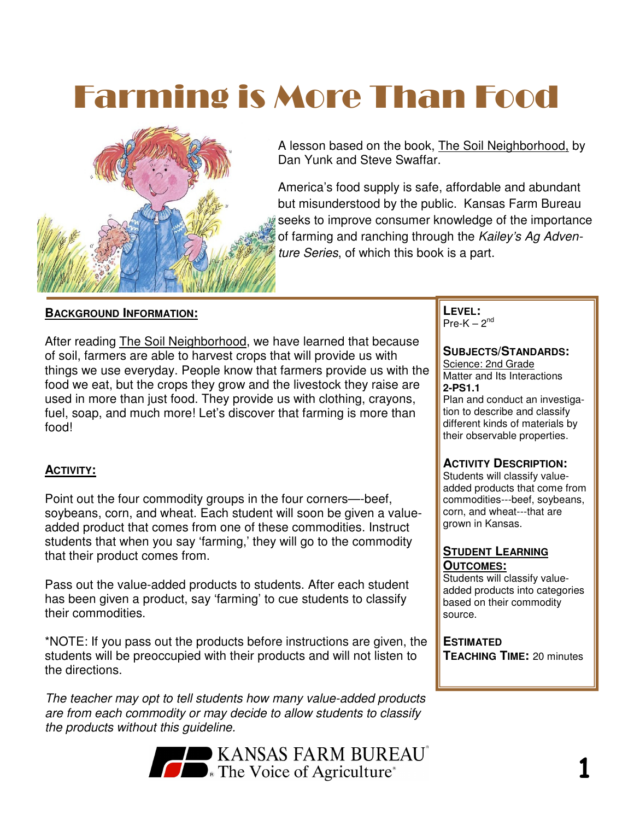# Farming is More Than Food



A lesson based on the book, The Soil Neighborhood, by Dan Yunk and Steve Swaffar.

America's food supply is safe, affordable and abundant but misunderstood by the public. Kansas Farm Bureau seeks to improve consumer knowledge of the importance of farming and ranching through the Kailey's Ag Adventure Series, of which this book is a part.

#### **BACKGROUND INFORMATION:**

After reading The Soil Neighborhood, we have learned that because of soil, farmers are able to harvest crops that will provide us with things we use everyday. People know that farmers provide us with the food we eat, but the crops they grow and the livestock they raise are used in more than just food. They provide us with clothing, crayons, fuel, soap, and much more! Let's discover that farming is more than food!

#### **ACTIVITY:**

Point out the four commodity groups in the four corners—-beef, soybeans, corn, and wheat. Each student will soon be given a valueadded product that comes from one of these commodities. Instruct students that when you say 'farming,' they will go to the commodity that their product comes from.

Pass out the value-added products to students. After each student has been given a product, say 'farming' to cue students to classify their commodities.

\*NOTE: If you pass out the products before instructions are given, the students will be preoccupied with their products and will not listen to the directions.

The teacher may opt to tell students how many value-added products are from each commodity or may decide to allow students to classify the products without this guideline.



**LEVEL:**  Pre-K  $-2<sup>nd</sup>$ 

#### **SUBJECTS/STANDARDS:**

Science: 2nd Grade Matter and Its Interactions **2-PS1.1**

Plan and conduct an investigation to describe and classify different kinds of materials by their observable properties.

#### **ACTIVITY DESCRIPTION:**

Students will classify valueadded products that come from commodities---beef, soybeans, corn, and wheat---that are grown in Kansas.

#### **STUDENT LEARNING OUTCOMES:**

Students will classify valueadded products into categories based on their commodity source.

**ESTIMATED TEACHING TIME:** 20 minutes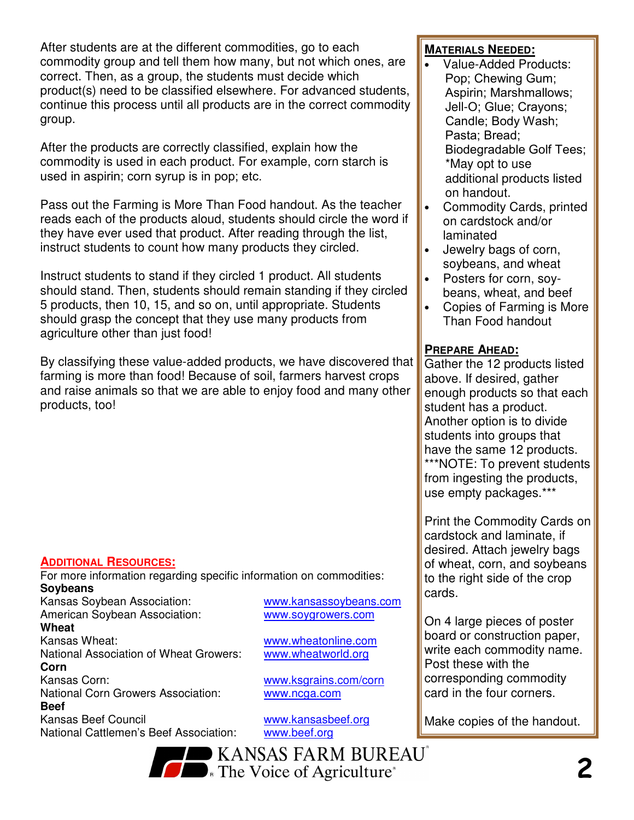After students are at the different commodities, go to each commodity group and tell them how many, but not which ones, are correct. Then, as a group, the students must decide which product(s) need to be classified elsewhere. For advanced students, continue this process until all products are in the correct commodity group.

After the products are correctly classified, explain how the commodity is used in each product. For example, corn starch is used in aspirin; corn syrup is in pop; etc.

Pass out the Farming is More Than Food handout. As the teacher reads each of the products aloud, students should circle the word if they have ever used that product. After reading through the list, instruct students to count how many products they circled.

Instruct students to stand if they circled 1 product. All students should stand. Then, students should remain standing if they circled 5 products, then 10, 15, and so on, until appropriate. Students should grasp the concept that they use many products from agriculture other than just food!

By classifying these value-added products, we have discovered that farming is more than food! Because of soil, farmers harvest crops and raise animals so that we are able to enjoy food and many other products, too!

#### **ADDITIONAL RESOURCES:**

For more information regarding specific information on commodities: **Soybeans** 

Kansas Soybean Association: www.kansassoybeans.com<br>American Soybean Association: www.soygrowers.com American Soybean Association:

**Wheat**  Kansas Wheat: www.wheatonline.com National Association of Wheat Growers: www.wheatworld.org **Corn** 

Kansas Corn: www.ksgrains.com/corn National Corn Growers Association: www.ncga.com **Beef**  Kansas Beef Council www.kansasbeef.org

National Cattlemen's Beef Association: www.beef.org

#### **MATERIALS NEEDED:**

- Value-Added Products: Pop; Chewing Gum; Aspirin; Marshmallows; Jell-O; Glue; Crayons; Candle; Body Wash; Pasta; Bread; Biodegradable Golf Tees; \*May opt to use additional products listed on handout.
- Commodity Cards, printed on cardstock and/or laminated
- Jewelry bags of corn, soybeans, and wheat
- Posters for corn, soybeans, wheat, and beef
- Copies of Farming is More Than Food handout

#### **PREPARE AHEAD:**

Gather the 12 products listed above. If desired, gather enough products so that each student has a product. Another option is to divide students into groups that have the same 12 products. \*\*\*NOTE: To prevent students from ingesting the products, use empty packages.\*\*\*

Print the Commodity Cards on cardstock and laminate, if desired. Attach jewelry bags of wheat, corn, and soybeans to the right side of the crop cards.

On 4 large pieces of poster board or construction paper, write each commodity name. Post these with the corresponding commodity card in the four corners.

Make copies of the handout.

**BUREAU** KANSAS FARM BUREAU **COMPANY AND ARTICULTURE**